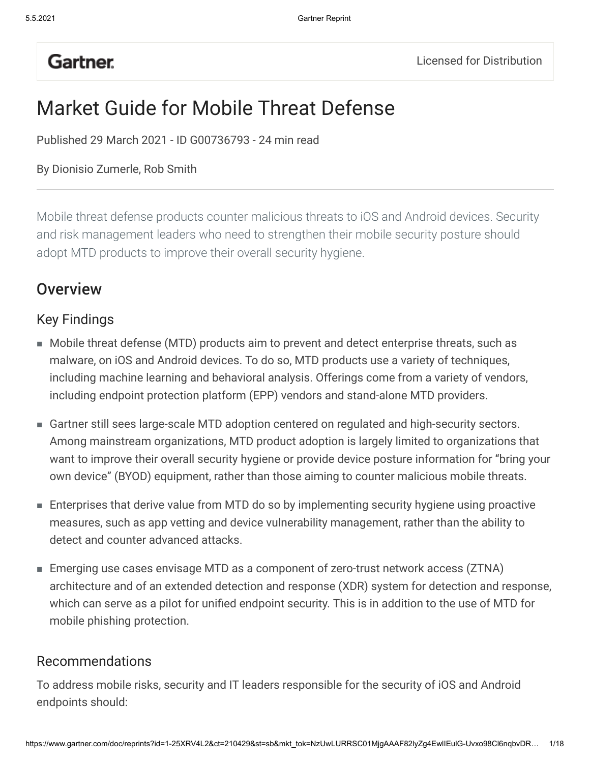# **Gartner.**

# Market Guide for Mobile Threat Defense

Published 29 March 2021 - ID G00736793 - 24 min read

#### By Dionisio Zumerle, Rob Smith

Mobile threat defense products counter malicious threats to iOS and Android devices. Security and risk management leaders who need to strengthen their mobile security posture should adopt MTD products to improve their overall security hygiene.

### **Overview**

### Key Findings

- Mobile threat defense (MTD) products aim to prevent and detect enterprise threats, such as malware, on iOS and Android devices. To do so, MTD products use a variety of techniques, including machine learning and behavioral analysis. Offerings come from a variety of vendors, including endpoint protection platform (EPP) vendors and stand-alone MTD providers.
- Gartner still sees large-scale MTD adoption centered on regulated and high-security sectors. Among mainstream organizations, MTD product adoption is largely limited to organizations that want to improve their overall security hygiene or provide device posture information for "bring your own device" (BYOD) equipment, rather than those aiming to counter malicious mobile threats.
- Enterprises that derive value from MTD do so by implementing security hygiene using proactive measures, such as app vetting and device vulnerability management, rather than the ability to detect and counter advanced attacks.
- Emerging use cases envisage MTD as a component of zero-trust network access (ZTNA) ■architecture and of an extended detection and response (XDR) system for detection and response, which can serve as a pilot for unified endpoint security. This is in addition to the use of MTD for mobile phishing protection.

#### Recommendations

To address mobile risks, security and IT leaders responsible for the security of iOS and Android endpoints should: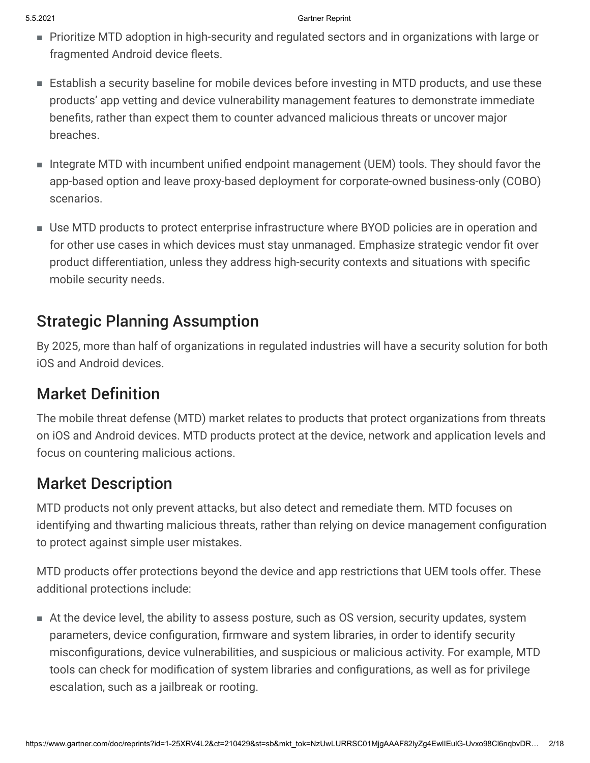- Prioritize MTD adoption in high-security and regulated sectors and in organizations with large or fragmented Android device fleets.
- Establish a security baseline for mobile devices before investing in MTD products, and use these products' app vetting and device vulnerability management features to demonstrate immediate benefits, rather than expect them to counter advanced malicious threats or uncover major breaches.
- Integrate MTD with incumbent unified endpoint management (UEM) tools. They should favor the app-based option and leave proxy-based deployment for corporate-owned business-only (COBO) scenarios.
- Use MTD products to protect enterprise infrastructure where BYOD policies are in operation and for other use cases in which devices must stay unmanaged. Emphasize strategic vendor fit over product differentiation, unless they address high-security contexts and situations with specific mobile security needs.

# Strategic Planning Assumption

By 2025, more than half of organizations in regulated industries will have a security solution for both iOS and Android devices.

## Market Definition

The mobile threat defense (MTD) market relates to products that protect organizations from threats on iOS and Android devices. MTD products protect at the device, network and application levels and focus on countering malicious actions.

## Market Description

MTD products not only prevent attacks, but also detect and remediate them. MTD focuses on identifying and thwarting malicious threats, rather than relying on device management configuration to protect against simple user mistakes.

MTD products offer protections beyond the device and app restrictions that UEM tools offer. These additional protections include:

At the device level, the ability to assess posture, such as OS version, security updates, system ■parameters, device configuration, firmware and system libraries, in order to identify security misconfigurations, device vulnerabilities, and suspicious or malicious activity. For example, MTD tools can check for modification of system libraries and configurations, as well as for privilege escalation, such as a jailbreak or rooting.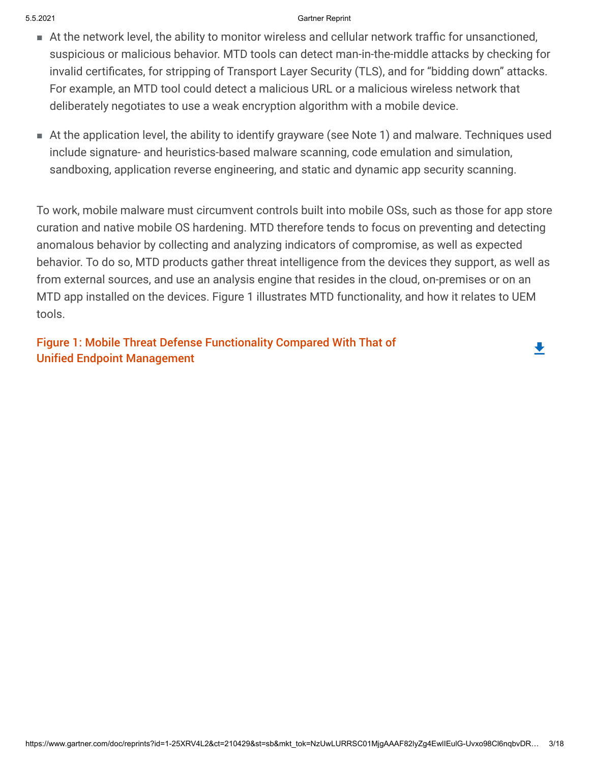- At the network level, the ability to monitor wireless and cellular network traffic for unsanctioned, suspicious or malicious behavior. MTD tools can detect man-in-the-middle attacks by checking for invalid certificates, for stripping of Transport Layer Security (TLS), and for "bidding down" attacks. For example, an MTD tool could detect a malicious URL or a malicious wireless network that deliberately negotiates to use a weak encryption algorithm with a mobile device.
- At the application level, the ability to identify grayware (see Note 1) and malware. Techniques used include signature- and heuristics-based malware scanning, code emulation and simulation, sandboxing, application reverse engineering, and static and dynamic app security scanning.

To work, mobile malware must circumvent controls built into mobile OSs, such as those for app store curation and native mobile OS hardening. MTD therefore tends to focus on preventing and detecting anomalous behavior by collecting and analyzing indicators of compromise, as well as expected behavior. To do so, MTD products gather threat intelligence from the devices they support, as well as from external sources, and use an analysis engine that resides in the cloud, on-premises or on an MTD app installed on the devices. Figure 1 illustrates MTD functionality, and how it relates to UEM tools.

┻

Figure 1: Mobile Threat Defense Functionality Compared With That of Unified Endpoint Management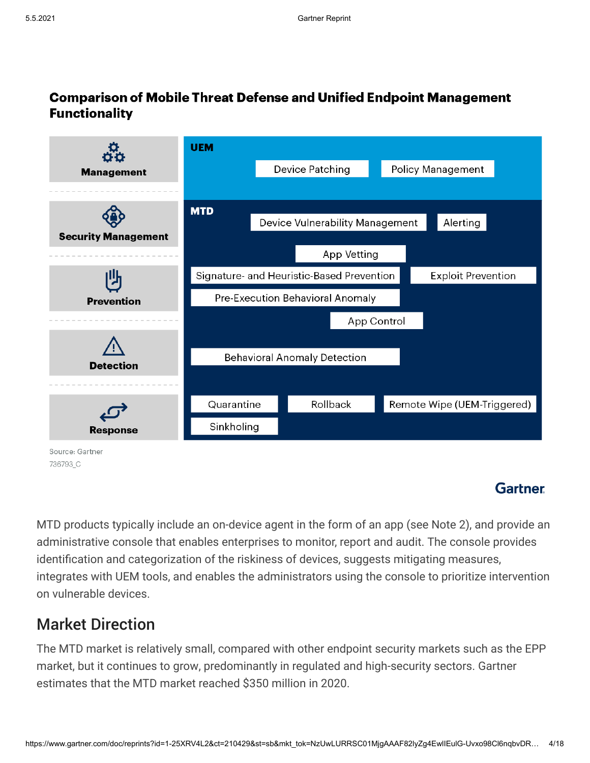### **Comparison of Mobile Threat Defense and Unified Endpoint Management Functionality**



### **Gartner**

MTD products typically include an on-device agent in the form of an app (see Note 2), and provide an administrative console that enables enterprises to monitor, report and audit. The console provides identification and categorization of the riskiness of devices, suggests mitigating measures, integrates with UEM tools, and enables the administrators using the console to prioritize intervention on vulnerable devices.

## Market Direction

The MTD market is relatively small, compared with other endpoint security markets such as the EPP market, but it continues to grow, predominantly in regulated and high-security sectors. Gartner estimates that the MTD market reached \$350 million in 2020.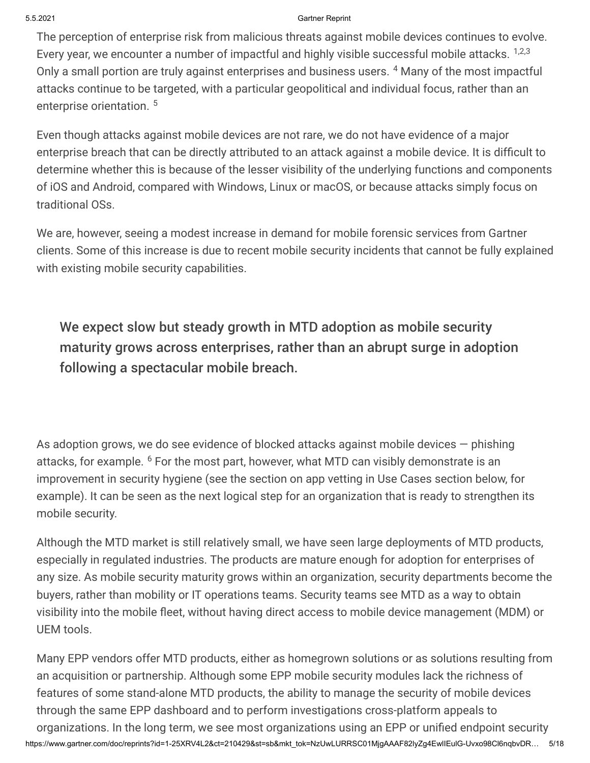The perception of enterprise risk from malicious threats against mobile devices continues to evolve. Every year, we encounter a number of impactful and highly visible successful mobile attacks.  $1,2,3$ Only a small portion are truly against enterprises and business users. <sup>4</sup> Many of the most impactful attacks continue to be targeted, with a particular geopolitical and individual focus, rather than an enterprise orientation.<sup>5</sup>

Even though attacks against mobile devices are not rare, we do not have evidence of a major enterprise breach that can be directly attributed to an attack against a mobile device. It is difficult to determine whether this is because of the lesser visibility of the underlying functions and components of iOS and Android, compared with Windows, Linux or macOS, or because attacks simply focus on traditional OSs.

We are, however, seeing a modest increase in demand for mobile forensic services from Gartner clients. Some of this increase is due to recent mobile security incidents that cannot be fully explained with existing mobile security capabilities.

We expect slow but steady growth in MTD adoption as mobile security maturity grows across enterprises, rather than an abrupt surge in adoption following a spectacular mobile breach.

As adoption grows, we do see evidence of blocked attacks against mobile devices — phishing attacks, for example. <sup>6</sup> For the most part, however, what MTD can visibly demonstrate is an improvement in security hygiene (see the section on app vetting in Use Cases section below, for example). It can be seen as the next logical step for an organization that is ready to strengthen its mobile security.

Although the MTD market is still relatively small, we have seen large deployments of MTD products, especially in regulated industries. The products are mature enough for adoption for enterprises of any size. As mobile security maturity grows within an organization, security departments become the buyers, rather than mobility or IT operations teams. Security teams see MTD as a way to obtain visibility into the mobile fleet, without having direct access to mobile device management (MDM) or UEM tools.

https://www.gartner.com/doc/reprints?id=1-25XRV4L2&ct=210429&st=sb&mkt\_tok=NzUwLURRSC01MjgAAAF82lyZg4EwlIEulG-Uvxo98Cl6nqbvDR… 5/18 Many EPP vendors offer MTD products, either as homegrown solutions or as solutions resulting from an acquisition or partnership. Although some EPP mobile security modules lack the richness of features of some stand-alone MTD products, the ability to manage the security of mobile devices through the same EPP dashboard and to perform investigations cross-platform appeals to organizations. In the long term, we see most organizations using an EPP or unified endpoint security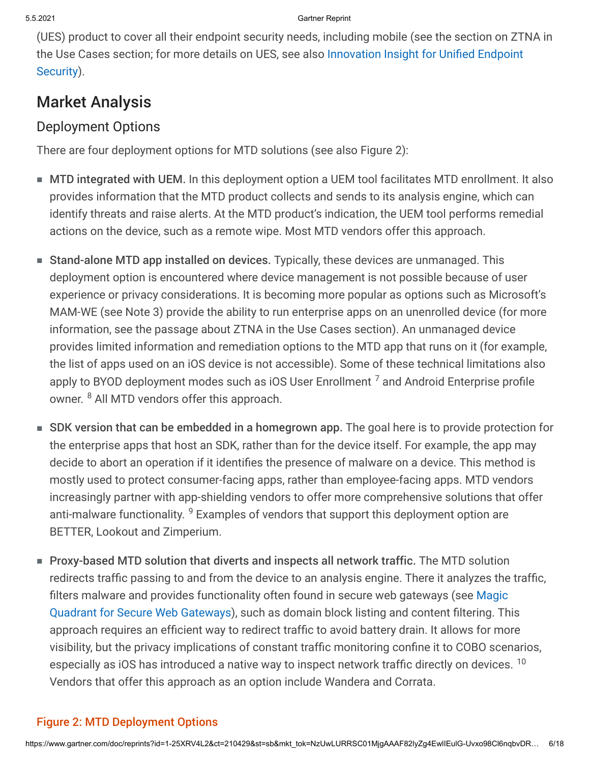(UES) product to cover all their endpoint security needs, including mobile (see the section on ZTNA in [the Use Cases section; for more details on UES, see also Innovation Insight for Unified Endpoint](javascript:void(0);) Security).

## Market Analysis

### Deployment Options

There are four deployment options for MTD solutions (see also Figure 2):

- MTD integrated with UEM. In this deployment option a UEM tool facilitates MTD enrollment. It also provides information that the MTD product collects and sends to its analysis engine, which can identify threats and raise alerts. At the MTD product's indication, the UEM tool performs remedial actions on the device, such as a remote wipe. Most MTD vendors offer this approach.
- Stand-alone MTD app installed on devices. Typically, these devices are unmanaged. This deployment option is encountered where device management is not possible because of user experience or privacy considerations. It is becoming more popular as options such as Microsoft's MAM-WE (see Note 3) provide the ability to run enterprise apps on an unenrolled device (for more information, see the passage about ZTNA in the Use Cases section). An unmanaged device provides limited information and remediation options to the MTD app that runs on it (for example, the list of apps used on an iOS device is not accessible). Some of these technical limitations also apply to BYOD deployment modes such as iOS User Enrollment  $<sup>7</sup>$  and Android Enterprise profile</sup> owner. 8 All MTD vendors offer this approach.
- SDK version that can be embedded in a homegrown app. The goal here is to provide protection for the enterprise apps that host an SDK, rather than for the device itself. For example, the app may decide to abort an operation if it identifies the presence of malware on a device. This method is mostly used to protect consumer-facing apps, rather than employee-facing apps. MTD vendors increasingly partner with app-shielding vendors to offer more comprehensive solutions that offer anti-malware functionality. <sup>9</sup> Examples of vendors that support this deployment option are BETTER, Lookout and Zimperium.
- Proxy-based MTD solution that diverts and inspects all network traffic. The MTD solution redirects traffic passing to and from the device to an analysis engine. There it analyzes the traffic, filters malware and provides functionality often found in secure web gateways (see Magic [Quadrant for Secure Web Gateways\), such as domain block listing and content filtering. Th](javascript:void(0);)is approach requires an efficient way to redirect traffic to avoid battery drain. It allows for more visibility, but the privacy implications of constant traffic monitoring confine it to COBO scenarios, especially as iOS has introduced a native way to inspect network traffic directly on devices. <sup>10</sup> Vendors that offer this approach as an option include Wandera and Corrata.

### Figure 2: MTD Deployment Options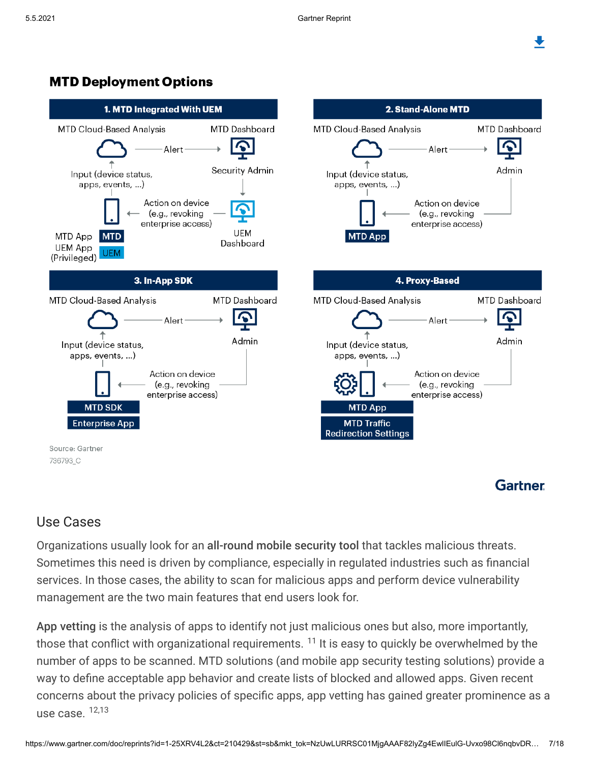### **MTD Deployment Options**



### Use Cases

Organizations usually look for an all-round mobile security tool that tackles malicious threats. Sometimes this need is driven by compliance, especially in regulated industries such as financial services. In those cases, the ability to scan for malicious apps and perform device vulnerability management are the two main features that end users look for.

App vetting is the analysis of apps to identify not just malicious ones but also, more importantly, those that conflict with organizational requirements.  $11$  It is easy to quickly be overwhelmed by the number of apps to be scanned. MTD solutions (and mobile app security testing solutions) provide a way to define acceptable app behavior and create lists of blocked and allowed apps. Given recent concerns about the privacy policies of specific apps, app vetting has gained greater prominence as a use case.  $12,13$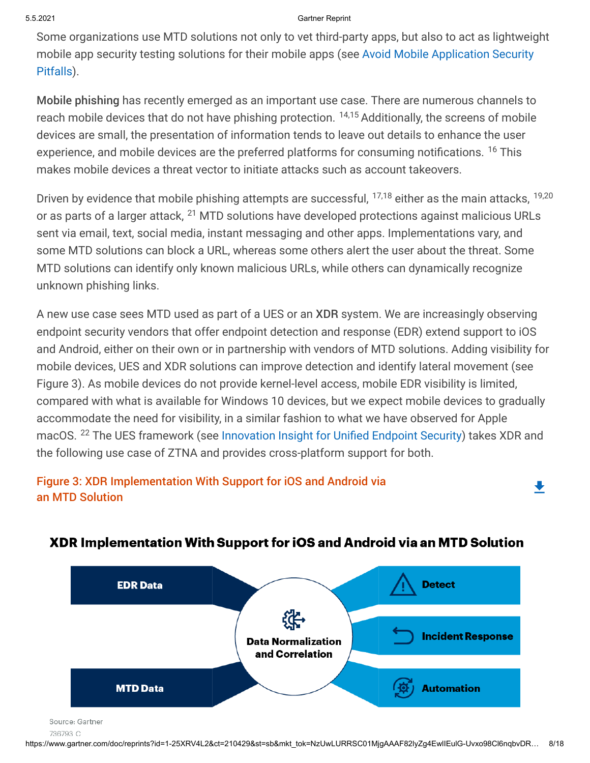Some organizations use MTD solutions not only to vet third-party apps, but also to act as lightweight [mobile app security testing solutions for their mobile apps \(see Avoid Mobile Application Security](javascript:void(0);) Pitfalls).

Mobile phishing has recently emerged as an important use case. There are numerous channels to reach mobile devices that do not have phishing protection. <sup>14,15</sup> Additionally, the screens of mobile devices are small, the presentation of information tends to leave out details to enhance the user experience, and mobile devices are the preferred platforms for consuming notifications. <sup>16</sup> This makes mobile devices a threat vector to initiate attacks such as account takeovers.

Driven by evidence that mobile phishing attempts are successful, <sup>17,18</sup> either as the main attacks, <sup>19,20</sup> or as parts of a larger attack, <sup>21</sup> MTD solutions have developed protections against malicious URLs sent via email, text, social media, instant messaging and other apps. Implementations vary, and some MTD solutions can block a URL, whereas some others alert the user about the threat. Some MTD solutions can identify only known malicious URLs, while others can dynamically recognize unknown phishing links.

A new use case sees MTD used as part of a UES or an XDR system. We are increasingly observing endpoint security vendors that offer endpoint detection and response (EDR) extend support to iOS and Android, either on their own or in partnership with vendors of MTD solutions. Adding visibility for mobile devices, UES and XDR solutions can improve detection and identify lateral movement (see Figure 3). As mobile devices do not provide kernel-level access, mobile EDR visibility is limited, compared with what is available for Windows 10 devices, but we expect mobile devices to gradually accommodate the need for visibility, in a similar fashion to what we have observed for Apple macOS. <sup>22</sup> The UES framework (see [Innovation Insight for Unified Endpoint Security\)](javascript:void(0);) takes XDR and the following use case of ZTNA and provides cross-platform support for both.

#### Figure 3: XDR Implementation With Support for iOS and Android via an MTD Solution



#### XDR Implementation With Support for iOS and Android via an MTD Solution

┻

Source: Gartner

<sup>736793</sup> C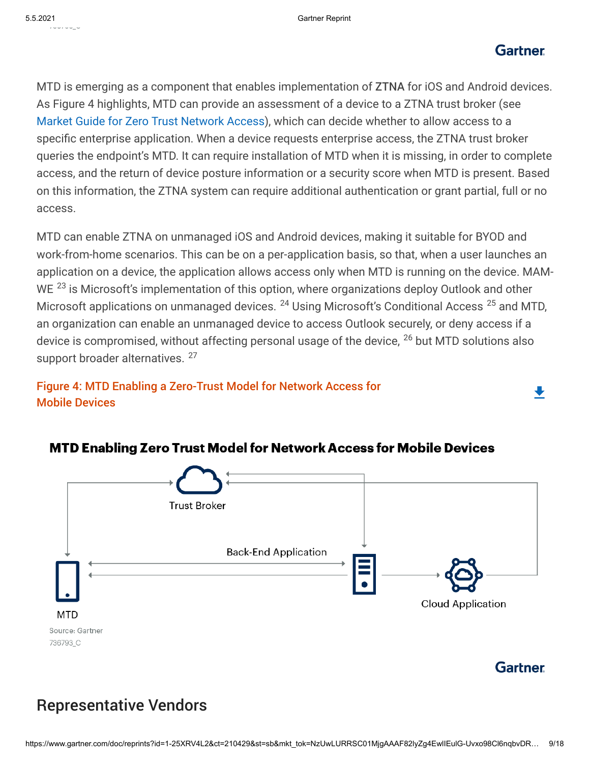#### **Gartner**

₩

MTD is emerging as a component that enables implementation of ZTNA for iOS and Android devices. As Figure 4 highlights, MTD can provide an assessment of a device to a ZTNA trust broker (see [Market Guide for Zero Trust Network Access\)](javascript:void(0);), which can decide whether to allow access to a specific enterprise application. When a device requests enterprise access, the ZTNA trust broker queries the endpoint's MTD. It can require installation of MTD when it is missing, in order to complete access, and the return of device posture information or a security score when MTD is present. Based on this information, the ZTNA system can require additional authentication or grant partial, full or no access.

MTD can enable ZTNA on unmanaged iOS and Android devices, making it suitable for BYOD and work-from-home scenarios. This can be on a per-application basis, so that, when a user launches an application on a device, the application allows access only when MTD is running on the device. MAM-WE <sup>23</sup> is Microsoft's implementation of this option, where organizations deploy Outlook and other Microsoft applications on unmanaged devices. <sup>24</sup> Using Microsoft's Conditional Access <sup>25</sup> and MTD, an organization can enable an unmanaged device to access Outlook securely, or deny access if a device is compromised, without affecting personal usage of the device, <sup>26</sup> but MTD solutions also support broader alternatives. <sup>27</sup>

Figure 4: MTD Enabling a Zero-Trust Model for Network Access for Mobile Devices



#### **MTD Enabling Zero Trust Model for Network Access for Mobile Devices**

### Representative Vendors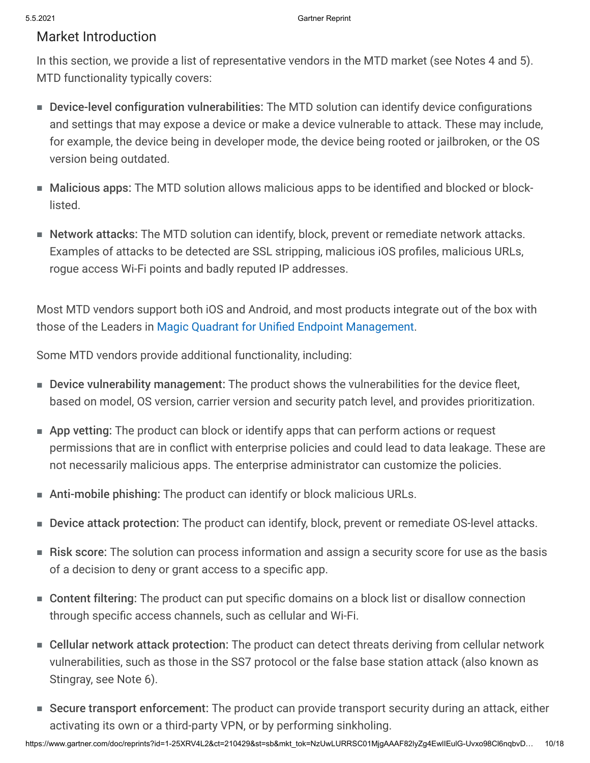#### Market Introduction

In this section, we provide a list of representative vendors in the MTD market (see Notes 4 and 5). MTD functionality typically covers:

- Device-level configuration vulnerabilities: The MTD solution can identify device configurations and settings that may expose a device or make a device vulnerable to attack. These may include, for example, the device being in developer mode, the device being rooted or jailbroken, or the OS version being outdated.
- Malicious apps: The MTD solution allows malicious apps to be identified and blocked or block-■ listed.
- Network attacks: The MTD solution can identify, block, prevent or remediate network attacks. Examples of attacks to be detected are SSL stripping, malicious iOS profiles, malicious URLs, rogue access Wi-Fi points and badly reputed IP addresses.

Most MTD vendors support both iOS and Android, and most products integrate out of the box with those of the Leaders in [Magic Quadrant for Unified Endpoint Management.](javascript:void(0);)

Some MTD vendors provide additional functionality, including:

- Device vulnerability management: The product shows the vulnerabilities for the device fleet, based on model, OS version, carrier version and security patch level, and provides prioritization.
- App vetting: The product can block or identify apps that can perform actions or request permissions that are in conflict with enterprise policies and could lead to data leakage. These are not necessarily malicious apps. The enterprise administrator can customize the policies.
- Anti-mobile phishing: The product can identify or block malicious URLs.
- Device attack protection: The product can identify, block, prevent or remediate OS-level attacks.
- Risk score: The solution can process information and assign a security score for use as the basis of a decision to deny or grant access to a specific app.
- Content filtering: The product can put specific domains on a block list or disallow connection through specific access channels, such as cellular and Wi-Fi.
- Cellular network attack protection: The product can detect threats deriving from cellular network vulnerabilities, such as those in the SS7 protocol or the false base station attack (also known as Stingray, see Note 6).
- Secure transport enforcement: The product can provide transport security during an attack, either activating its own or a third-party VPN, or by performing sinkholing.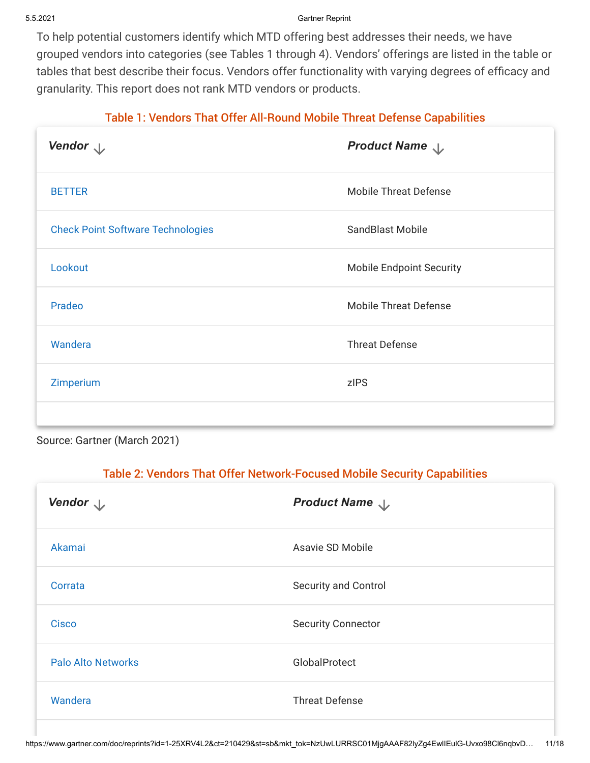To help potential customers identify which MTD offering best addresses their needs, we have grouped vendors into categories (see Tables 1 through 4). Vendors' offerings are listed in the table or tables that best describe their focus. Vendors offer functionality with varying degrees of efficacy and granularity. This report does not rank MTD vendors or products.

#### Table 1: Vendors That Offer All-Round Mobile Threat Defense Capabilities

| Vendor $\downarrow$                      | Product Name \                  |
|------------------------------------------|---------------------------------|
| <b>BETTER</b>                            | <b>Mobile Threat Defense</b>    |
| <b>Check Point Software Technologies</b> | SandBlast Mobile                |
| Lookout                                  | <b>Mobile Endpoint Security</b> |
| Pradeo                                   | <b>Mobile Threat Defense</b>    |
| Wandera                                  | <b>Threat Defense</b>           |
| Zimperium                                | zIPS                            |
|                                          |                                 |

Source: Gartner (March 2021)

#### Table 2: Vendors That Offer Network-Focused Mobile Security Capabilities

| Vendor $\downarrow$       | Product Name $\downarrow$   |
|---------------------------|-----------------------------|
| Akamai                    | Asavie SD Mobile            |
| Corrata                   | <b>Security and Control</b> |
| <b>Cisco</b>              | <b>Security Connector</b>   |
| <b>Palo Alto Networks</b> | GlobalProtect               |
| Wandera                   | <b>Threat Defense</b>       |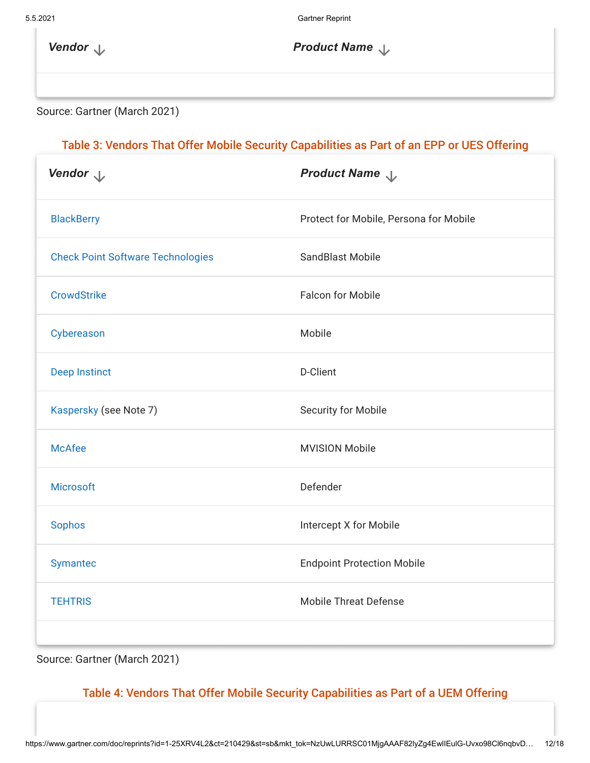**Vendor** *Vendor Product* **Name** 

Source: Gartner (March 2021)

#### Table 3: Vendors That Offer Mobile Security Capabilities as Part of an EPP or UES Offering

| Vendor $\downarrow$                      | Product Name                           |
|------------------------------------------|----------------------------------------|
| <b>BlackBerry</b>                        | Protect for Mobile, Persona for Mobile |
| <b>Check Point Software Technologies</b> | <b>SandBlast Mobile</b>                |
| <b>CrowdStrike</b>                       | <b>Falcon for Mobile</b>               |
| Cybereason                               | Mobile                                 |
| <b>Deep Instinct</b>                     | D-Client                               |
| Kaspersky (see Note 7)                   | Security for Mobile                    |
| <b>McAfee</b>                            | <b>MVISION Mobile</b>                  |
| <b>Microsoft</b>                         | Defender                               |
| <b>Sophos</b>                            | Intercept X for Mobile                 |
| <b>Symantec</b>                          | <b>Endpoint Protection Mobile</b>      |
| <b>TEHTRIS</b>                           | <b>Mobile Threat Defense</b>           |
|                                          |                                        |

Source: Gartner (March 2021)

#### Table 4: Vendors That Offer Mobile Security Capabilities as Part of a UEM Offering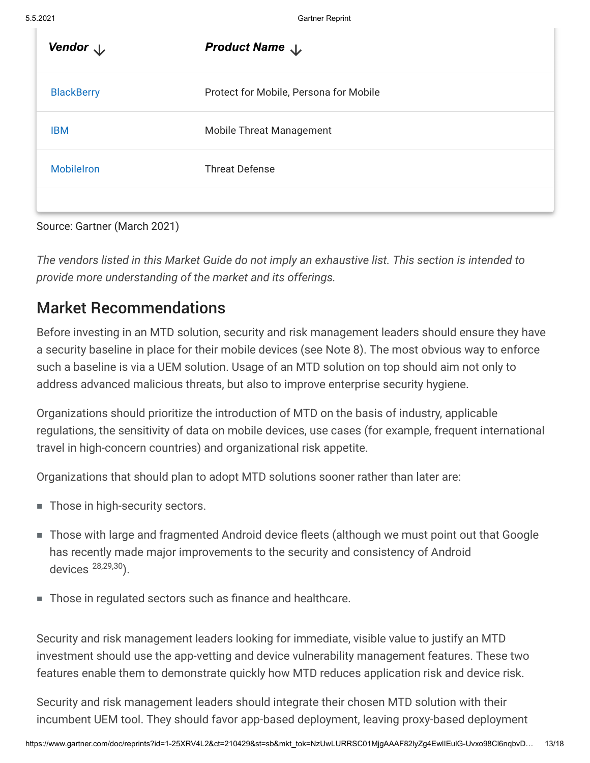| Vendor $\downarrow$ | <b>Product Name</b> $\downarrow$       |
|---------------------|----------------------------------------|
| <b>BlackBerry</b>   | Protect for Mobile, Persona for Mobile |
| <b>IBM</b>          | <b>Mobile Threat Management</b>        |
| <b>Mobilelron</b>   | <b>Threat Defense</b>                  |
|                     |                                        |

| Source: Gartner (March 2021) |  |
|------------------------------|--|
|------------------------------|--|

*The vendors listed in this Market Guide do not imply an exhaustive list. This section is intended to provide more understanding of the market and its offerings.*

### Market Recommendations

Before investing in an MTD solution, security and risk management leaders should ensure they have a security baseline in place for their mobile devices (see Note 8). The most obvious way to enforce such a baseline is via a UEM solution. Usage of an MTD solution on top should aim not only to address advanced malicious threats, but also to improve enterprise security hygiene.

Organizations should prioritize the introduction of MTD on the basis of industry, applicable regulations, the sensitivity of data on mobile devices, use cases (for example, frequent international travel in high-concern countries) and organizational risk appetite.

Organizations that should plan to adopt MTD solutions sooner rather than later are:

- Those in high-security sectors.
- Those with large and fragmented Android device fleets (although we must point out that Google has recently made major improvements to the security and consistency of Android devices 28,29,30).
- Those in regulated sectors such as finance and healthcare.

Security and risk management leaders looking for immediate, visible value to justify an MTD investment should use the app-vetting and device vulnerability management features. These two features enable them to demonstrate quickly how MTD reduces application risk and device risk.

Security and risk management leaders should integrate their chosen MTD solution with their incumbent UEM tool. They should favor app-based deployment, leaving proxy-based deployment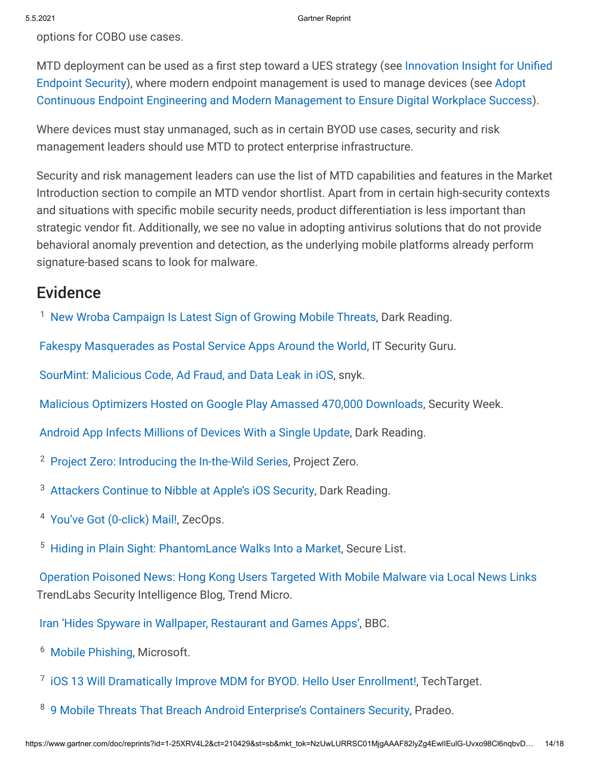options for COBO use cases.

[MTD deployment can be used as a first step toward a UES strategy \(see Innovation Insight for Unified](javascript:void(0);) Endpoint Security), where modern endpoint management is used to manage devices (see Adopt [Continuous Endpoint Engineering and Modern Management to Ensure Digital Workplace Success](javascript:void(0);)).

Where devices must stay unmanaged, such as in certain BYOD use cases, security and risk management leaders should use MTD to protect enterprise infrastructure.

Security and risk management leaders can use the list of MTD capabilities and features in the Market Introduction section to compile an MTD vendor shortlist. Apart from in certain high-security contexts and situations with specific mobile security needs, product differentiation is less important than strategic vendor fit. Additionally, we see no value in adopting antivirus solutions that do not provide behavioral anomaly prevention and detection, as the underlying mobile platforms already perform signature-based scans to look for malware.

### **Evidence**

<sup>1</sup> [New Wroba Campaign Is Latest Sign of Growing Mobile Threats](https://www.darkreading.com/mobile/new-wroba-campaign-is-latest-sign-of-growing-mobile-threats/d/d-id/1339339), Dark Reading.

[Fakespy Masquerades as Postal Service Apps Around the World,](https://www.itsecurityguru.org/2020/07/01/fakespy-masquerades-as-postal-service-apps-around-the-world/) IT Security Guru.

[SourMint: Malicious Code, Ad Fraud, and Data Leak in iOS](https://snyk.io/blog/sourmint-malicious-code-ad-fraud-and-data-leak-in-ios/), snyk.

[Malicious Optimizers Hosted on Google Play Amassed 470,000 Downloads](https://www.securityweek.com/malicious-optimizers-hosted-google-play-amassed-470000-downloads), Security Week.

[Android App Infects Millions of Devices With a Single Update,](https://www.darkreading.com/application-security/android-app-infects-millions-of-devices-with-a-single-update/d/d-id/1340093) Dark Reading.

- <sup>2</sup> [Project Zero: Introducing the In-the-Wild Series](https://googleprojectzero.blogspot.com/2021/01/introducing-in-wild-series.html), Project Zero.
- <sup>3</sup> [Attackers Continue to Nibble at Apple's iOS Security,](https://www.darkreading.com/application-security/attackers-continue-to-nibble-at-apples-ios-security/d/d-id/1340030?_mc=rss_x_drr_edt_aud_dr_x_x-rss-simple) Dark Reading.
- <sup>4</sup> [You've Got \(0-click\) Mail!](https://blog.zecops.com/vulnerabilities/youve-got-0-click-mail/), ZecOps.
- <sup>5</sup> [Hiding in Plain Sight: PhantomLance Walks Into a Market](https://securelist.com/apt-phantomlance/96772/), Secure List.

[Operation Poisoned News: Hong Kong Users Targeted With Mobile Malware via Local News Links](https://blog.trendmicro.com/trendlabs-security-intelligence/operation-poisoned-news-hong-kong-users-targeted-with-mobile-malware-via-local-news-links/) TrendLabs Security Intelligence Blog, Trend Micro.

[Iran 'Hides Spyware in Wallpaper, Restaurant and Games Apps'](https://www.bbc.com/news/technology-55977537), BBC.

- <sup>6</sup> [Mobile Phishing,](https://query.prod.cms.rt.microsoft.com/cms/api/am/binary/RE3KcyI) Microsoft.
- <sup>7</sup> [iOS 13 Will Dramatically Improve MDM for BYOD. Hello User Enrollment!](https://www.brianmadden.com/opinion/Apple-iOS-13-user-enrollment), TechTarget.
- <sup>8</sup> [9 Mobile Threats That Breach Android Enterprise's Containers Security](https://www.pradeo.com/media/android-enterprise.pdf), Pradeo.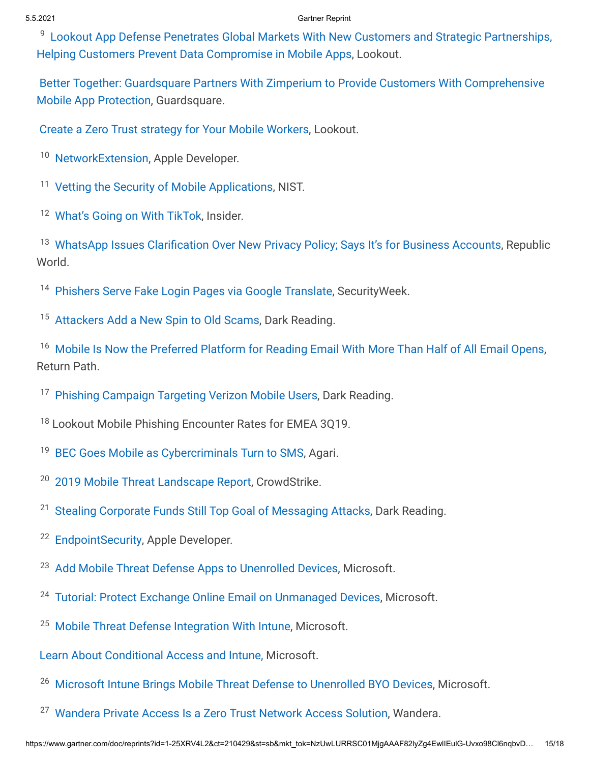<sup>9</sup> [Lookout App Defense Penetrates Global Markets With New Customers and Strategic Partnerships,](https://www.lookout.com/company/media-center/press-releases/lookout-app-defense-penetrates-global-markets) Helping Customers Prevent Data Compromise in Mobile Apps, Lookout.

[Better Together: Guardsquare Partners With Zimperium to Provide Customers With Comprehensive](https://www.guardsquare.com/en/blog/guardsquare-partners-zimperium) Mobile App Protection, Guardsquare.

[Create a Zero Trust strategy for Your Mobile Workers,](https://www.lookout.com/solutions/zero-trust) Lookout.

<sup>10</sup> [NetworkExtension](https://developer.apple.com/documentation/networkextension), Apple Developer.

- <sup>11</sup> [Vetting the Security of Mobile Applications](https://nvlpubs.nist.gov/nistpubs/SpecialPublications/NIST.SP.800-163r1.pdf), NIST.
- <sup>12</sup> [What's Going on With TikTok](https://www.businessinsider.com/whats-going-on-with-tiktok-censorship-privacy-2019-11?IR=T), Insider.

<sup>13</sup> [WhatsApp Issues Clarification Over New Privacy Policy; Says It's for Business Accounts](https://www.republicworld.com/technology-news/apps/whatsapp-issues-clarification-over-new-privacy-policy-says-its-for-business-accounts.html), Republic World.

- <sup>14</sup> [Phishers Serve Fake Login Pages via Google Translate](https://www.securityweek.com/phishers-serve-fake-login-pages-google-translate), SecurityWeek.
- <sup>15</sup> [Attackers Add a New Spin to Old Scams](https://www.darkreading.com/cloud/attackers-add-a-new-spin-to-old-scams-/d/d-id/1334626), Dark Reading.

<sup>16</sup> [Mobile Is Now the Preferred Platform for Reading Email With More Than Half of All Email Opens,](https://returnpath.com/newsroom/mobile-now-preferred-platform-reading-email-half-email-opens/) Return Path.

- <sup>17</sup> [Phishing Campaign Targeting Verizon Mobile Users,](https://www.darkreading.com/threat-intelligence/phishing-campaign-targeting-verizon-mobile-users-/d/d-id/1334358) Dark Reading.
- <sup>18</sup> Lookout Mobile Phishing Encounter Rates for EMEA 3Q19.
- <sup>19</sup> [BEC Goes Mobile as Cybercriminals Turn to SMS,](https://www.agari.com/email-security-blog/bec-goes-mobile/) Agari.
- <sup>20</sup> [2019 Mobile Threat Landscape Report,](https://www.crowdstrike.com/resources/crowdcasts/mobile-threat-landscape-2019/) CrowdStrike.
- <sup>21</sup> [Stealing Corporate Funds Still Top Goal of Messaging Attacks](https://www.darkreading.com/threat-intelligence/stealing-corporate-funds-still-top-goal-of-messaging-attacks/d/d-id/1334194), Dark Reading.
- <sup>22</sup> [EndpointSecurity](https://developer.apple.com/documentation/endpointsecurity), Apple Developer.
- <sup>23</sup> [Add Mobile Threat Defense Apps to Unenrolled Devices,](https://docs.microsoft.com/en-us/mem/intune/protect/mtd-add-apps-unenrolled-devices) Microsoft.
- <sup>24</sup> [Tutorial: Protect Exchange Online Email on Unmanaged Devices,](https://docs.microsoft.com/en-us/intune/protect/tutorial-protect-email-on-unmanaged-devices) Microsoft.
- <sup>25</sup> [Mobile Threat Defense Integration With Intune](https://docs.microsoft.com/en-us/intune/protect/mobile-threat-defense), Microsoft.

[Learn About Conditional Access and Intune,](https://docs.microsoft.com/en-us/intune/protect/conditional-access) Microsoft.

- <sup>26</sup> [Microsoft Intune Brings Mobile Threat Defense to Unenrolled BYO Devices](https://techcommunity.microsoft.com/t5/microsoft-endpoint-manager-blog/microsoft-intune-brings-mobile-threat-defense-to-unenrolled-byo/ba-p/966734), Microsoft.
- <sup>27</sup> [Wandera Private Access Is a Zero Trust Network Access Solution](https://www.wandera.com/private-access/), Wandera.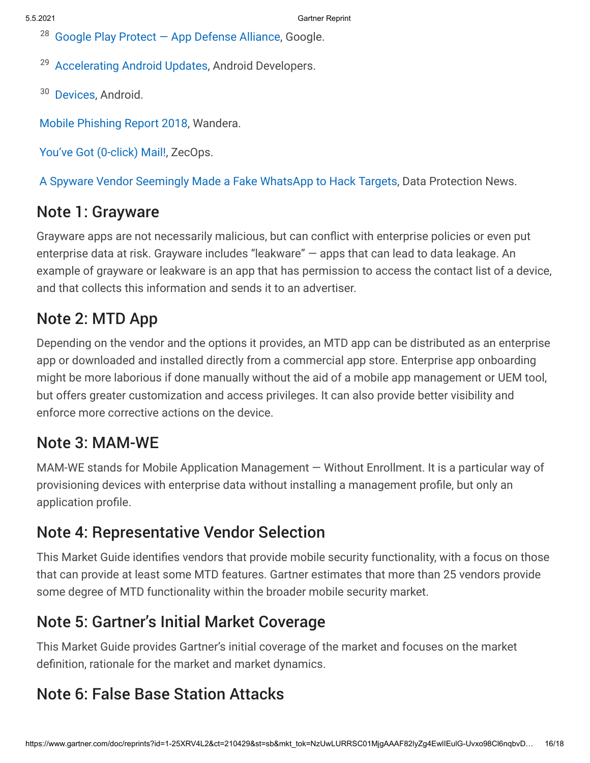$28$  Google Play Protect  $-$  App Defense Alliance, Google.

<sup>29</sup> [Accelerating Android Updates,](https://android-developers.googleblog.com/2020/07/accelerating-android-updates.html) Android Developers.

<sup>30</sup> [Devices,](https://androidenterprisepartners.withgoogle.com/devices/#!/?aer) Android.

[Mobile Phishing Report 2018,](https://www.wandera.com/mobile-phishing-report/) Wandera.

[You've Got \(0-click\) Mail!](https://blog.zecops.com/vulnerabilities/youve-got-0-click-mail/), ZecOps.

[A Spyware Vendor Seemingly Made a Fake WhatsApp to Hack Targets](https://dataprotection.news/a-spyware-vendor-seemingly-made-a-fake-whatsapp-to-hack-targets/), Data Protection News.

### Note 1: Grayware

Grayware apps are not necessarily malicious, but can conflict with enterprise policies or even put enterprise data at risk. Grayware includes "leakware" — apps that can lead to data leakage. An example of grayware or leakware is an app that has permission to access the contact list of a device, and that collects this information and sends it to an advertiser.

# Note 2: MTD App

Depending on the vendor and the options it provides, an MTD app can be distributed as an enterprise app or downloaded and installed directly from a commercial app store. Enterprise app onboarding might be more laborious if done manually without the aid of a mobile app management or UEM tool, but offers greater customization and access privileges. It can also provide better visibility and enforce more corrective actions on the device.

## Note 3: MAM-WE

MAM-WE stands for Mobile Application Management — Without Enrollment. It is a particular way of provisioning devices with enterprise data without installing a management profile, but only an application profile.

## Note 4: Representative Vendor Selection

This Market Guide identifies vendors that provide mobile security functionality, with a focus on those that can provide at least some MTD features. Gartner estimates that more than 25 vendors provide some degree of MTD functionality within the broader mobile security market.

# Note 5: Gartner's Initial Market Coverage

This Market Guide provides Gartner's initial coverage of the market and focuses on the market definition, rationale for the market and market dynamics.

## Note 6: False Base Station Attacks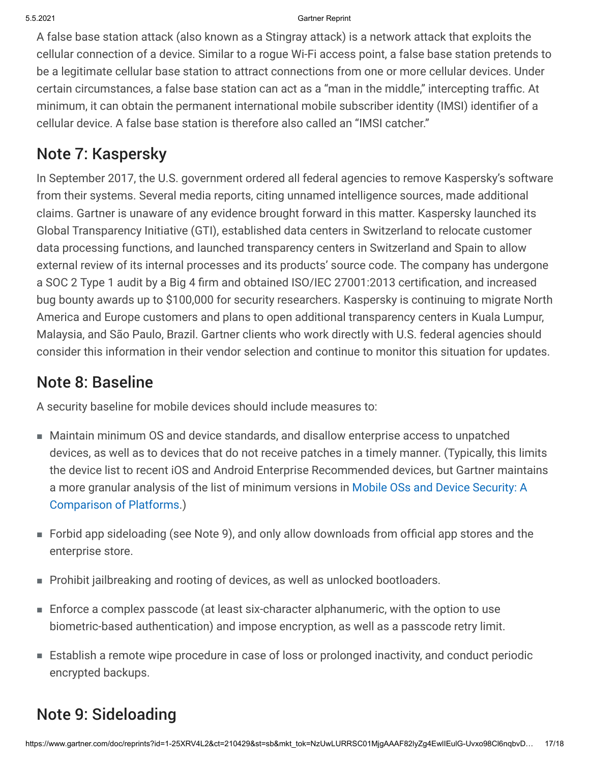A false base station attack (also known as a Stingray attack) is a network attack that exploits the cellular connection of a device. Similar to a rogue Wi-Fi access point, a false base station pretends to be a legitimate cellular base station to attract connections from one or more cellular devices. Under certain circumstances, a false base station can act as a "man in the middle," intercepting traffic. At minimum, it can obtain the permanent international mobile subscriber identity (IMSI) identifier of a cellular device. A false base station is therefore also called an "IMSI catcher."

# Note 7: Kaspersky

In September 2017, the U.S. government ordered all federal agencies to remove Kaspersky's software from their systems. Several media reports, citing unnamed intelligence sources, made additional claims. Gartner is unaware of any evidence brought forward in this matter. Kaspersky launched its Global Transparency Initiative (GTI), established data centers in Switzerland to relocate customer data processing functions, and launched transparency centers in Switzerland and Spain to allow external review of its internal processes and its products' source code. The company has undergone a SOC 2 Type 1 audit by a Big 4 firm and obtained ISO/IEC 27001:2013 certification, and increased bug bounty awards up to \$100,000 for security researchers. Kaspersky is continuing to migrate North America and Europe customers and plans to open additional transparency centers in Kuala Lumpur, Malaysia, and São Paulo, Brazil. Gartner clients who work directly with U.S. federal agencies should consider this information in their vendor selection and continue to monitor this situation for updates.

## Note 8: Baseline

A security baseline for mobile devices should include measures to:

- Maintain minimum OS and device standards, and disallow enterprise access to unpatched devices, as well as to devices that do not receive patches in a timely manner. (Typically, this limits the device list to recent iOS and Android Enterprise Recommended devices, but Gartner maintains [a more granular analysis of the list of minimum versions in Mobile OSs and Device Security: A](javascript:void(0);) Comparison of Platforms.)
- Forbid app sideloading (see Note 9), and only allow downloads from official app stores and the enterprise store.
- Prohibit jailbreaking and rooting of devices, as well as unlocked bootloaders.
- Enforce a complex passcode (at least six-character alphanumeric, with the option to use biometric-based authentication) and impose encryption, as well as a passcode retry limit.
- Establish a remote wipe procedure in case of loss or prolonged inactivity, and conduct periodic encrypted backups.

# Note 9: Sideloading